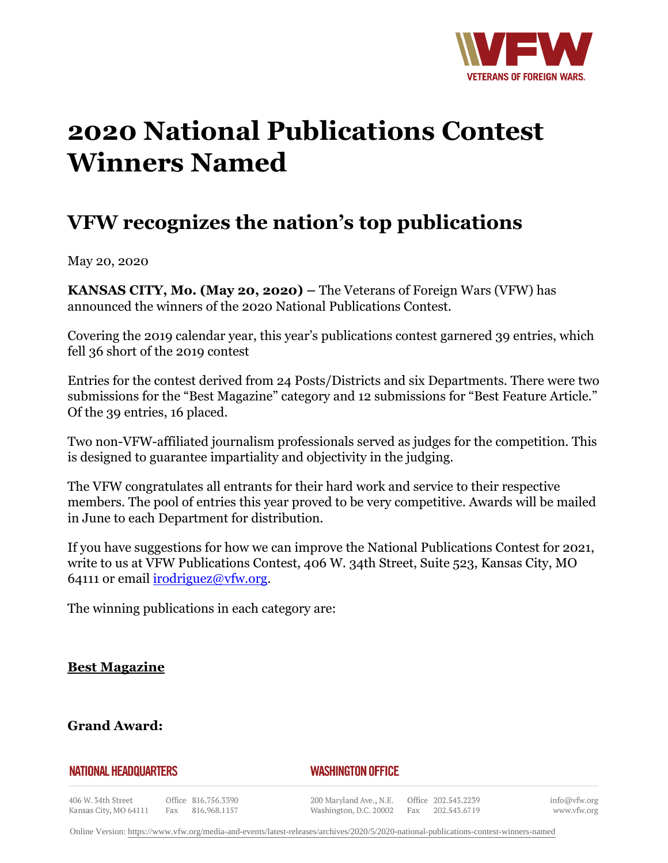

# **2020 National Publications Contest Winners Named**

# **VFW recognizes the nation's top publications**

May 20, 2020

**KANSAS CITY, Mo. (May 20, 2020) –** The Veterans of Foreign Wars (VFW) has announced the winners of the 2020 National Publications Contest.

Covering the 2019 calendar year, this year's publications contest garnered 39 entries, which fell 36 short of the 2019 contest

Entries for the contest derived from 24 Posts/Districts and six Departments. There were two submissions for the "Best Magazine" category and 12 submissions for "Best Feature Article." Of the 39 entries, 16 placed.

Two non-VFW-affiliated journalism professionals served as judges for the competition. This is designed to guarantee impartiality and objectivity in the judging.

The VFW congratulates all entrants for their hard work and service to their respective members. The pool of entries this year proved to be very competitive. Awards will be mailed in June to each Department for distribution.

If you have suggestions for how we can improve the National Publications Contest for 2021, write to us at VFW Publications Contest, 406 W. 34th Street, Suite 523, Kansas City, MO 64111 or email [irodriguez@vfw.org](mailto:irodriguez@vfw.org).

The winning publications in each category are:

#### **Best Magazine**

#### **Grand Award:**

#### **NATIONAL HEADQUARTERS**

#### *WASHINGTON OFFICE*

406 W. 34th Street Kansas City, MO 64111

Office 816.756.3390 Fax 816.968.1157

200 Maryland Ave., N.E. Washington, D.C. 20002

Office 202.543.2239 Fax 202.543.6719 info@vfw.org www.vfw.org

Online Version:<https://www.vfw.org/media-and-events/latest-releases/archives/2020/5/2020-national-publications-contest-winners-named>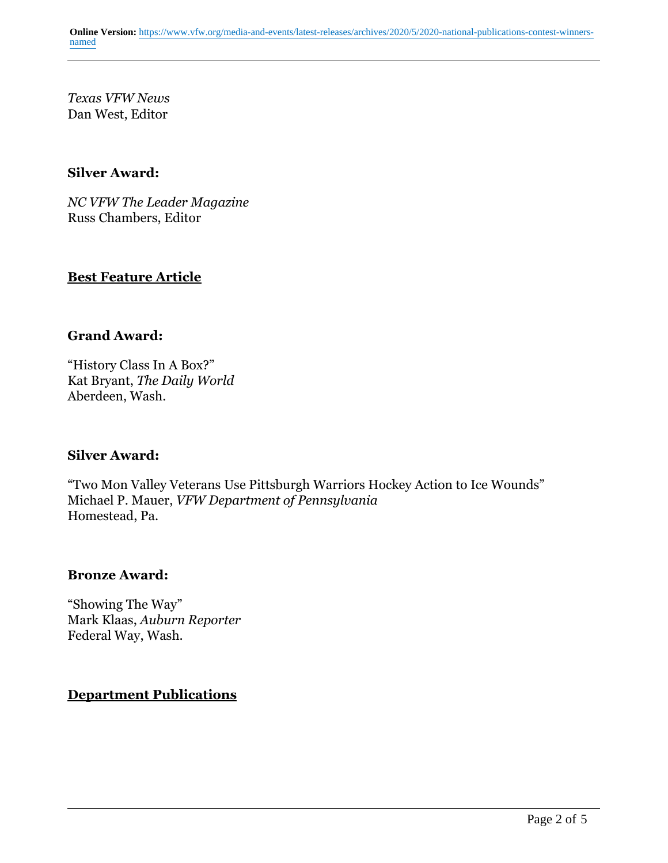*Texas VFW News* Dan West, Editor

## **Silver Award:**

*NC VFW The Leader Magazine* Russ Chambers, Editor

## **Best Feature Article**

#### **Grand Award:**

"History Class In A Box?" Kat Bryant, *The Daily World* Aberdeen, Wash.

## **Silver Award:**

"Two Mon Valley Veterans Use Pittsburgh Warriors Hockey Action to Ice Wounds" Michael P. Mauer, *VFW Department of Pennsylvania* Homestead, Pa.

#### **Bronze Award:**

"Showing The Way" Mark Klaas, *Auburn Reporter* Federal Way, Wash.

#### **Department Publications**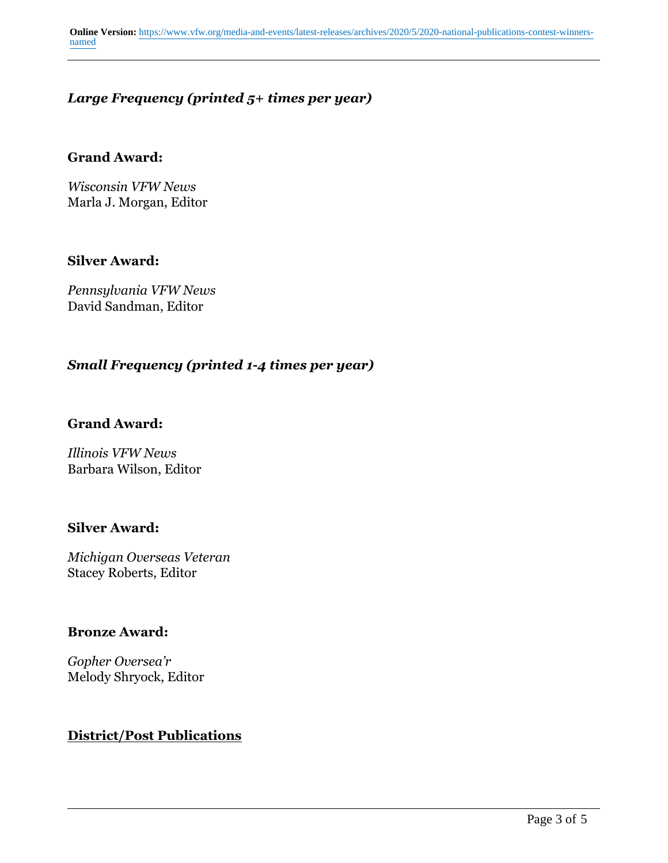### *Large Frequency (printed 5+ times per year)*

#### **Grand Award:**

*Wisconsin VFW News* Marla J. Morgan, Editor

#### **Silver Award:**

*Pennsylvania VFW News* David Sandman, Editor

#### *Small Frequency (printed 1-4 times per year)*

#### **Grand Award:**

*Illinois VFW News* Barbara Wilson, Editor

#### **Silver Award:**

*Michigan Overseas Veteran* Stacey Roberts, Editor

#### **Bronze Award:**

*Gopher Oversea'r* Melody Shryock, Editor

#### **District/Post Publications**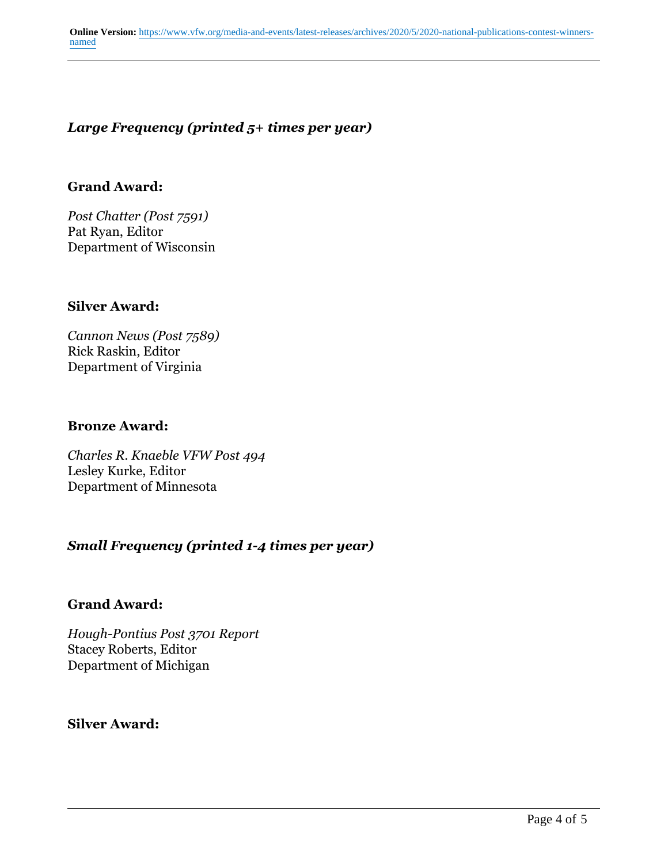# *Large Frequency (printed 5+ times per year)*

#### **Grand Award:**

*Post Chatter (Post 7591)* Pat Ryan, Editor Department of Wisconsin

#### **Silver Award:**

*Cannon News (Post 7589)* Rick Raskin, Editor Department of Virginia

#### **Bronze Award:**

*Charles R. Knaeble VFW Post 494* Lesley Kurke, Editor Department of Minnesota

#### *Small Frequency (printed 1-4 times per year)*

#### **Grand Award:**

*Hough-Pontius Post 3701 Report* Stacey Roberts, Editor Department of Michigan

#### **Silver Award:**